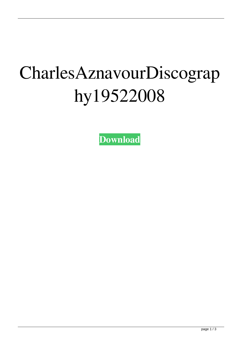## CharlesAznavourDiscograp hy19522008

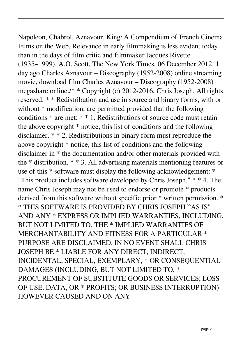Napoleon, Chabrol, Aznavour, King: A Compendium of French Cinema Films on the Web. Relevance in early filmmaking is less evident today than in the days of film critic and filmmaker Jacques Rivette (1935–1999). A.O. Scott, The New York Times, 06 December 2012. 1 day ago Charles Aznavour – Discography (1952-2008) online streaming movie, download film Charles Aznavour – Discography (1952-2008) megashare online./\* \* Copyright (c) 2012-2016, Chris Joseph. All rights reserved. \* \* Redistribution and use in source and binary forms, with or without \* modification, are permitted provided that the following conditions \* are met: \* \* 1. Redistributions of source code must retain the above copyright \* notice, this list of conditions and the following disclaimer. \* \* 2. Redistributions in binary form must reproduce the above copyright \* notice, this list of conditions and the following disclaimer in \* the documentation and/or other materials provided with the \* distribution. \* \* 3. All advertising materials mentioning features or use of this \* software must display the following acknowledgement: \* "This product includes software developed by Chris Joseph." \* \* 4. The name Chris Joseph may not be used to endorse or promote \* products derived from this software without specific prior \* written permission. \* \* THIS SOFTWARE IS PROVIDED BY CHRIS JOSEPH ``AS IS'' AND ANY \* EXPRESS OR IMPLIED WARRANTIES, INCLUDING, BUT NOT LIMITED TO, THE \* IMPLIED WARRANTIES OF MERCHANTABILITY AND FITNESS FOR A PARTICULAR \* PURPOSE ARE DISCLAIMED. IN NO EVENT SHALL CHRIS JOSEPH BE \* LIABLE FOR ANY DIRECT, INDIRECT, INCIDENTAL, SPECIAL, EXEMPLARY, \* OR CONSEQUENTIAL DAMAGES (INCLUDING, BUT NOT LIMITED TO, \* PROCUREMENT OF SUBSTITUTE GOODS OR SERVICES; LOSS OF USE, DATA, OR \* PROFITS; OR BUSINESS INTERRUPTION) HOWEVER CAUSED AND ON ANY